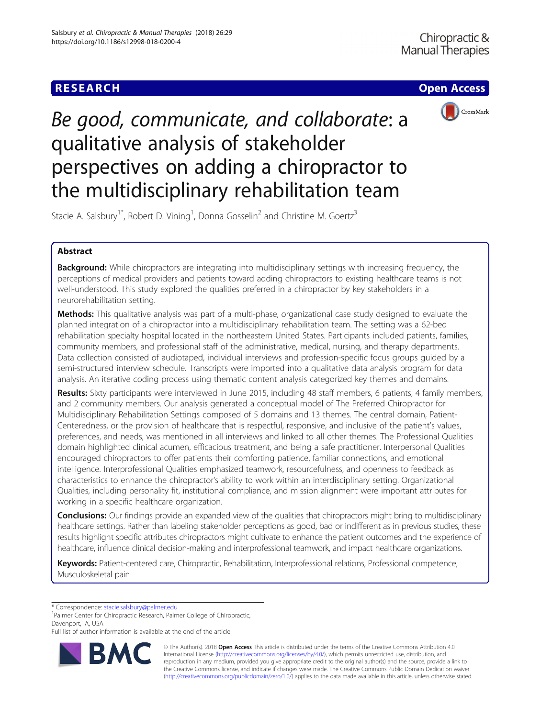



Be good, communicate, and collaborate: a qualitative analysis of stakeholder perspectives on adding a chiropractor to the multidisciplinary rehabilitation team

Stacie A. Salsbury<sup>1\*</sup>, Robert D. Vining<sup>1</sup>, Donna Gosselin<sup>2</sup> and Christine M. Goertz<sup>3</sup>

## Abstract

Background: While chiropractors are integrating into multidisciplinary settings with increasing frequency, the perceptions of medical providers and patients toward adding chiropractors to existing healthcare teams is not well-understood. This study explored the qualities preferred in a chiropractor by key stakeholders in a neurorehabilitation setting.

Methods: This qualitative analysis was part of a multi-phase, organizational case study designed to evaluate the planned integration of a chiropractor into a multidisciplinary rehabilitation team. The setting was a 62-bed rehabilitation specialty hospital located in the northeastern United States. Participants included patients, families, community members, and professional staff of the administrative, medical, nursing, and therapy departments. Data collection consisted of audiotaped, individual interviews and profession-specific focus groups guided by a semi-structured interview schedule. Transcripts were imported into a qualitative data analysis program for data analysis. An iterative coding process using thematic content analysis categorized key themes and domains.

Results: Sixty participants were interviewed in June 2015, including 48 staff members, 6 patients, 4 family members, and 2 community members. Our analysis generated a conceptual model of The Preferred Chiropractor for Multidisciplinary Rehabilitation Settings composed of 5 domains and 13 themes. The central domain, Patient-Centeredness, or the provision of healthcare that is respectful, responsive, and inclusive of the patient's values, preferences, and needs, was mentioned in all interviews and linked to all other themes. The Professional Qualities domain highlighted clinical acumen, efficacious treatment, and being a safe practitioner. Interpersonal Qualities encouraged chiropractors to offer patients their comforting patience, familiar connections, and emotional intelligence. Interprofessional Qualities emphasized teamwork, resourcefulness, and openness to feedback as characteristics to enhance the chiropractor's ability to work within an interdisciplinary setting. Organizational Qualities, including personality fit, institutional compliance, and mission alignment were important attributes for working in a specific healthcare organization.

Conclusions: Our findings provide an expanded view of the qualities that chiropractors might bring to multidisciplinary healthcare settings. Rather than labeling stakeholder perceptions as good, bad or indifferent as in previous studies, these results highlight specific attributes chiropractors might cultivate to enhance the patient outcomes and the experience of healthcare, influence clinical decision-making and interprofessional teamwork, and impact healthcare organizations.

Keywords: Patient-centered care, Chiropractic, Rehabilitation, Interprofessional relations, Professional competence, Musculoskeletal pain

\* Correspondence: [stacie.salsbury@palmer.edu](mailto:stacie.salsbury@palmer.edu) <sup>1</sup>

<sup>1</sup>Palmer Center for Chiropractic Research, Palmer College of Chiropractic, Davenport, IA, USA

Full list of author information is available at the end of the article



© The Author(s). 2018 Open Access This article is distributed under the terms of the Creative Commons Attribution 4.0 International License [\(http://creativecommons.org/licenses/by/4.0/](http://creativecommons.org/licenses/by/4.0/)), which permits unrestricted use, distribution, and reproduction in any medium, provided you give appropriate credit to the original author(s) and the source, provide a link to the Creative Commons license, and indicate if changes were made. The Creative Commons Public Domain Dedication waiver [\(http://creativecommons.org/publicdomain/zero/1.0/](http://creativecommons.org/publicdomain/zero/1.0/)) applies to the data made available in this article, unless otherwise stated.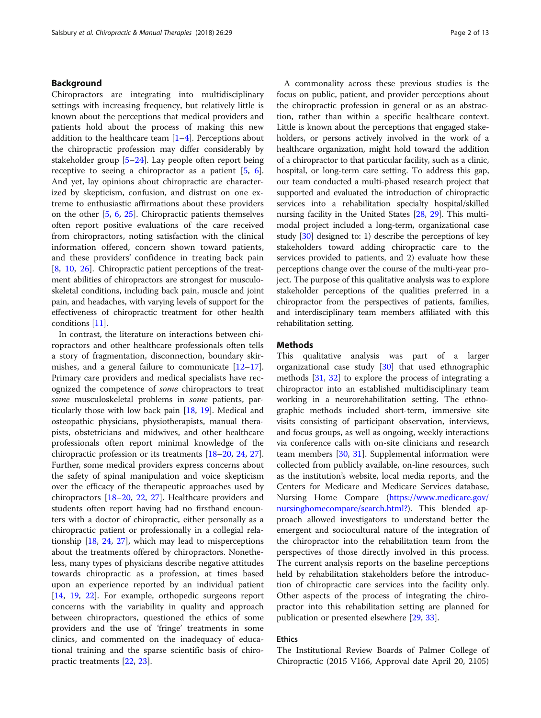### Background

Chiropractors are integrating into multidisciplinary settings with increasing frequency, but relatively little is known about the perceptions that medical providers and patients hold about the process of making this new addition to the healthcare team  $[1-4]$  $[1-4]$  $[1-4]$  $[1-4]$ . Perceptions about the chiropractic profession may differ considerably by stakeholder group [[5](#page-11-0)–[24](#page-12-0)]. Lay people often report being receptive to seeing a chiropractor as a patient [\[5,](#page-11-0) [6](#page-12-0)]. And yet, lay opinions about chiropractic are characterized by skepticism, confusion, and distrust on one extreme to enthusiastic affirmations about these providers on the other [[5,](#page-11-0) [6](#page-12-0), [25\]](#page-12-0). Chiropractic patients themselves often report positive evaluations of the care received from chiropractors, noting satisfaction with the clinical information offered, concern shown toward patients, and these providers' confidence in treating back pain [[8,](#page-12-0) [10,](#page-12-0) [26](#page-12-0)]. Chiropractic patient perceptions of the treatment abilities of chiropractors are strongest for musculoskeletal conditions, including back pain, muscle and joint pain, and headaches, with varying levels of support for the effectiveness of chiropractic treatment for other health conditions [\[11\]](#page-12-0).

In contrast, the literature on interactions between chiropractors and other healthcare professionals often tells a story of fragmentation, disconnection, boundary skirmishes, and a general failure to communicate [[12](#page-12-0)–[17](#page-12-0)]. Primary care providers and medical specialists have recognized the competence of some chiropractors to treat some musculoskeletal problems in some patients, particularly those with low back pain [[18,](#page-12-0) [19](#page-12-0)]. Medical and osteopathic physicians, physiotherapists, manual therapists, obstetricians and midwives, and other healthcare professionals often report minimal knowledge of the chiropractic profession or its treatments [\[18](#page-12-0)–[20,](#page-12-0) [24](#page-12-0), [27](#page-12-0)]. Further, some medical providers express concerns about the safety of spinal manipulation and voice skepticism over the efficacy of the therapeutic approaches used by chiropractors [\[18](#page-12-0)–[20,](#page-12-0) [22,](#page-12-0) [27\]](#page-12-0). Healthcare providers and students often report having had no firsthand encounters with a doctor of chiropractic, either personally as a chiropractic patient or professionally in a collegial relationship [[18,](#page-12-0) [24](#page-12-0), [27](#page-12-0)], which may lead to misperceptions about the treatments offered by chiropractors. Nonetheless, many types of physicians describe negative attitudes towards chiropractic as a profession, at times based upon an experience reported by an individual patient [[14,](#page-12-0) [19,](#page-12-0) [22\]](#page-12-0). For example, orthopedic surgeons report concerns with the variability in quality and approach between chiropractors, questioned the ethics of some providers and the use of 'fringe' treatments in some clinics, and commented on the inadequacy of educational training and the sparse scientific basis of chiropractic treatments [\[22](#page-12-0), [23](#page-12-0)].

A commonality across these previous studies is the focus on public, patient, and provider perceptions about the chiropractic profession in general or as an abstraction, rather than within a specific healthcare context. Little is known about the perceptions that engaged stakeholders, or persons actively involved in the work of a healthcare organization, might hold toward the addition of a chiropractor to that particular facility, such as a clinic, hospital, or long-term care setting. To address this gap, our team conducted a multi-phased research project that supported and evaluated the introduction of chiropractic services into a rehabilitation specialty hospital/skilled nursing facility in the United States [\[28,](#page-12-0) [29](#page-12-0)]. This multimodal project included a long-term, organizational case study [[30](#page-12-0)] designed to: 1) describe the perceptions of key stakeholders toward adding chiropractic care to the services provided to patients, and 2) evaluate how these perceptions change over the course of the multi-year project. The purpose of this qualitative analysis was to explore stakeholder perceptions of the qualities preferred in a chiropractor from the perspectives of patients, families, and interdisciplinary team members affiliated with this rehabilitation setting.

#### Methods

This qualitative analysis was part of a larger organizational case study [[30\]](#page-12-0) that used ethnographic methods [[31](#page-12-0), [32](#page-12-0)] to explore the process of integrating a chiropractor into an established multidisciplinary team working in a neurorehabilitation setting. The ethnographic methods included short-term, immersive site visits consisting of participant observation, interviews, and focus groups, as well as ongoing, weekly interactions via conference calls with on-site clinicians and research team members [\[30,](#page-12-0) [31\]](#page-12-0). Supplemental information were collected from publicly available, on-line resources, such as the institution's website, local media reports, and the Centers for Medicare and Medicare Services database, Nursing Home Compare ([https://www.medicare.gov/](https://www.medicare.gov/nursinghomecompare/search.html?) [nursinghomecompare/search.html?\)](https://www.medicare.gov/nursinghomecompare/search.html?). This blended approach allowed investigators to understand better the emergent and sociocultural nature of the integration of the chiropractor into the rehabilitation team from the perspectives of those directly involved in this process. The current analysis reports on the baseline perceptions held by rehabilitation stakeholders before the introduction of chiropractic care services into the facility only. Other aspects of the process of integrating the chiropractor into this rehabilitation setting are planned for publication or presented elsewhere [[29,](#page-12-0) [33](#page-12-0)].

### Ethics

The Institutional Review Boards of Palmer College of Chiropractic (2015 V166, Approval date April 20, 2105)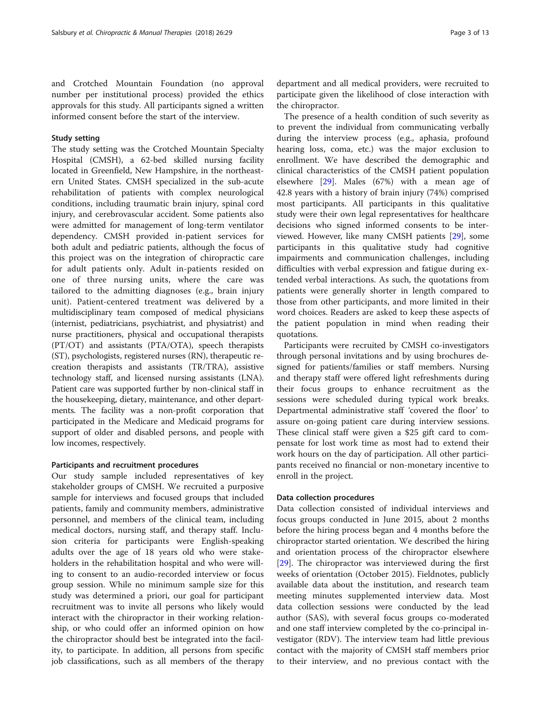and Crotched Mountain Foundation (no approval number per institutional process) provided the ethics approvals for this study. All participants signed a written informed consent before the start of the interview.

### Study setting

The study setting was the Crotched Mountain Specialty Hospital (CMSH), a 62-bed skilled nursing facility located in Greenfield, New Hampshire, in the northeastern United States. CMSH specialized in the sub-acute rehabilitation of patients with complex neurological conditions, including traumatic brain injury, spinal cord injury, and cerebrovascular accident. Some patients also were admitted for management of long-term ventilator dependency. CMSH provided in-patient services for both adult and pediatric patients, although the focus of this project was on the integration of chiropractic care for adult patients only. Adult in-patients resided on one of three nursing units, where the care was tailored to the admitting diagnoses (e.g., brain injury unit). Patient-centered treatment was delivered by a multidisciplinary team composed of medical physicians (internist, pediatricians, psychiatrist, and physiatrist) and nurse practitioners, physical and occupational therapists (PT/OT) and assistants (PTA/OTA), speech therapists (ST), psychologists, registered nurses (RN), therapeutic recreation therapists and assistants (TR/TRA), assistive technology staff, and licensed nursing assistants (LNA). Patient care was supported further by non-clinical staff in the housekeeping, dietary, maintenance, and other departments. The facility was a non-profit corporation that participated in the Medicare and Medicaid programs for support of older and disabled persons, and people with low incomes, respectively.

### Participants and recruitment procedures

Our study sample included representatives of key stakeholder groups of CMSH. We recruited a purposive sample for interviews and focused groups that included patients, family and community members, administrative personnel, and members of the clinical team, including medical doctors, nursing staff, and therapy staff. Inclusion criteria for participants were English-speaking adults over the age of 18 years old who were stakeholders in the rehabilitation hospital and who were willing to consent to an audio-recorded interview or focus group session. While no minimum sample size for this study was determined a priori, our goal for participant recruitment was to invite all persons who likely would interact with the chiropractor in their working relationship, or who could offer an informed opinion on how the chiropractor should best be integrated into the facility, to participate. In addition, all persons from specific job classifications, such as all members of the therapy department and all medical providers, were recruited to participate given the likelihood of close interaction with the chiropractor.

The presence of a health condition of such severity as to prevent the individual from communicating verbally during the interview process (e.g., aphasia, profound hearing loss, coma, etc.) was the major exclusion to enrollment. We have described the demographic and clinical characteristics of the CMSH patient population elsewhere [\[29](#page-12-0)]. Males (67%) with a mean age of 42.8 years with a history of brain injury (74%) comprised most participants. All participants in this qualitative study were their own legal representatives for healthcare decisions who signed informed consents to be interviewed. However, like many CMSH patients [[29\]](#page-12-0), some participants in this qualitative study had cognitive impairments and communication challenges, including difficulties with verbal expression and fatigue during extended verbal interactions. As such, the quotations from patients were generally shorter in length compared to those from other participants, and more limited in their word choices. Readers are asked to keep these aspects of the patient population in mind when reading their quotations.

Participants were recruited by CMSH co-investigators through personal invitations and by using brochures designed for patients/families or staff members. Nursing and therapy staff were offered light refreshments during their focus groups to enhance recruitment as the sessions were scheduled during typical work breaks. Departmental administrative staff 'covered the floor' to assure on-going patient care during interview sessions. These clinical staff were given a \$25 gift card to compensate for lost work time as most had to extend their work hours on the day of participation. All other participants received no financial or non-monetary incentive to enroll in the project.

### Data collection procedures

Data collection consisted of individual interviews and focus groups conducted in June 2015, about 2 months before the hiring process began and 4 months before the chiropractor started orientation. We described the hiring and orientation process of the chiropractor elsewhere [[29\]](#page-12-0). The chiropractor was interviewed during the first weeks of orientation (October 2015). Fieldnotes, publicly available data about the institution, and research team meeting minutes supplemented interview data. Most data collection sessions were conducted by the lead author (SAS), with several focus groups co-moderated and one staff interview completed by the co-principal investigator (RDV). The interview team had little previous contact with the majority of CMSH staff members prior to their interview, and no previous contact with the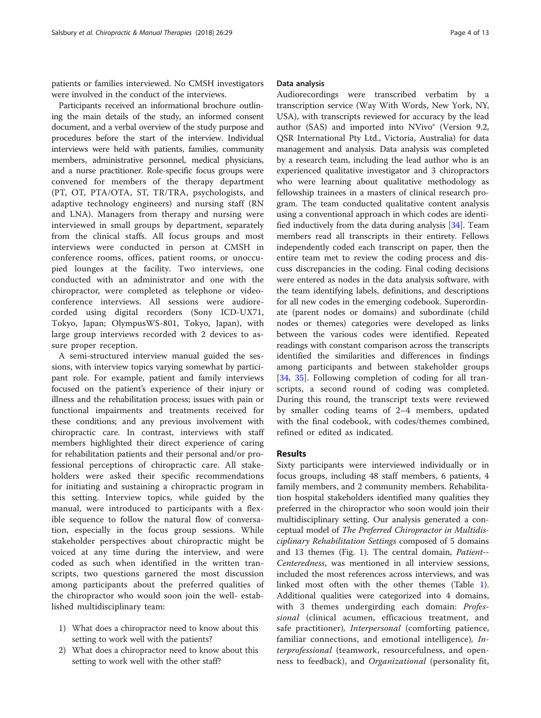patients or families interviewed. No CMSH investigators were involved in the conduct of the interviews.

Participants received an informational brochure outlining the main details of the study, an informed consent document, and a verbal overview of the study purpose and procedures before the start of the interview. Individual interviews were held with patients, families, community members, administrative personnel, medical physicians, and a nurse practitioner. Role-specific focus groups were convened for members of the therapy department (PT, OT, PTA/OTA, ST, TR/TRA, psychologists, and adaptive technology engineers) and nursing staff (RN and LNA). Managers from therapy and nursing were interviewed in small groups by department, separately from the clinical staffs. All focus groups and most interviews were conducted in person at CMSH in conference rooms, offices, patient rooms, or unoccupied lounges at the facility. Two interviews, one conducted with an administrator and one with the chiropractor, were completed as telephone or videoconference interviews. All sessions were audiorecorded using digital recorders (Sony ICD-UX71, Tokyo, Japan; OlympusWS-801, Tokyo, Japan), with large group interviews recorded with 2 devices to assure proper reception.

A semi-structured interview manual guided the sessions, with interview topics varying somewhat by participant role. For example, patient and family interviews focused on the patient's experience of their injury or illness and the rehabilitation process; issues with pain or functional impairments and treatments received for these conditions; and any previous involvement with chiropractic care. In contrast, interviews with staff members highlighted their direct experience of caring for rehabilitation patients and their personal and/or professional perceptions of chiropractic care. All stakeholders were asked their specific recommendations for initiating and sustaining a chiropractic program in this setting. Interview topics, while guided by the manual, were introduced to participants with a flexible sequence to follow the natural flow of conversation, especially in the focus group sessions. While stakeholder perspectives about chiropractic might be voiced at any time during the interview, and were coded as such when identified in the written transcripts, two questions garnered the most discussion among participants about the preferred qualities of the chiropractor who would soon join the well- established multidisciplinary team:

- 1) What does a chiropractor need to know about this setting to work well with the patients?
- 2) What does a chiropractor need to know about this setting to work well with the other staff?

### Data analysis

Audiorecordings were transcribed verbatim by a transcription service (Way With Words, New York, NY, USA), with transcripts reviewed for accuracy by the lead author (SAS) and imported into NVivo® (Version 9.2, QSR International Pty Ltd., Victoria, Australia) for data management and analysis. Data analysis was completed by a research team, including the lead author who is an experienced qualitative investigator and 3 chiropractors who were learning about qualitative methodology as fellowship trainees in a masters of clinical research program. The team conducted qualitative content analysis using a conventional approach in which codes are identified inductively from the data during analysis [[34\]](#page-12-0). Team members read all transcripts in their entirety. Fellows independently coded each transcript on paper, then the entire team met to review the coding process and discuss discrepancies in the coding. Final coding decisions were entered as nodes in the data analysis software, with the team identifying labels, definitions, and descriptions for all new codes in the emerging codebook. Superordinate (parent nodes or domains) and subordinate (child nodes or themes) categories were developed as links between the various codes were identified. Repeated readings with constant comparison across the transcripts identified the similarities and differences in findings among participants and between stakeholder groups [[34,](#page-12-0) [35\]](#page-12-0). Following completion of coding for all transcripts, a second round of coding was completed. During this round, the transcript texts were reviewed by smaller coding teams of 2–4 members, updated with the final codebook, with codes/themes combined, refined or edited as indicated.

### Results

Sixty participants were interviewed individually or in focus groups, including 48 staff members, 6 patients, 4 family members, and 2 community members. Rehabilitation hospital stakeholders identified many qualities they preferred in the chiropractor who soon would join their multidisciplinary setting. Our analysis generated a conceptual model of The Preferred Chiropractor in Multidisciplinary Rehabilitation Settings composed of 5 domains and 13 themes (Fig. [1\)](#page-4-0). The central domain, Patient-- Centeredness, was mentioned in all interview sessions, included the most references across interviews, and was linked most often with the other themes (Table [1](#page-4-0)). Additional qualities were categorized into 4 domains, with 3 themes undergirding each domain: Professional (clinical acumen, efficacious treatment, and safe practitioner), *Interpersonal* (comforting patience, familiar connections, and emotional intelligence), Interprofessional (teamwork, resourcefulness, and openness to feedback), and Organizational (personality fit,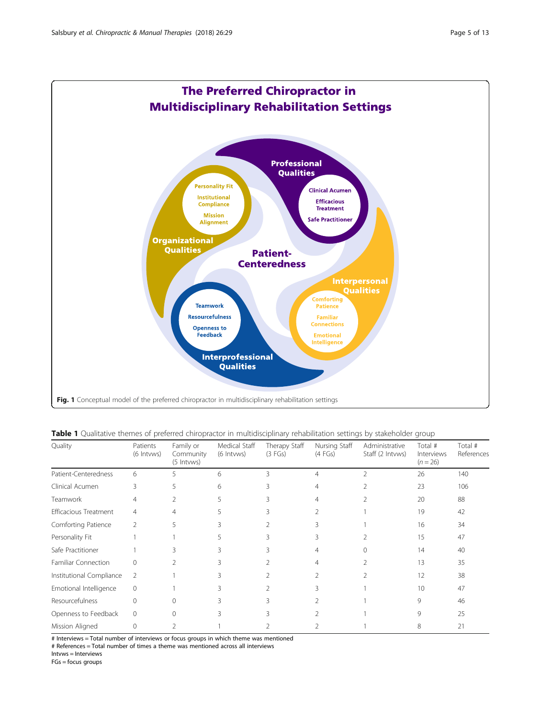<span id="page-4-0"></span>

| Table 1 Qualitative themes of preferred chiropractor in multidisciplinary rehabilitation settings by stakeholder group |  |
|------------------------------------------------------------------------------------------------------------------------|--|
|------------------------------------------------------------------------------------------------------------------------|--|

| Quality                      | Patients<br>(6 Intvws) | Family or<br>Community<br>$(5 \text{ Intvws})$ | Medical Staff<br>(6 Intvws) | Therapy Staff<br>(3 FGs) | Nursing Staff<br>(4 FGs) | Administrative<br>Staff (2 Intvws) | Total #<br>Interviews<br>$(n = 26)$ | Total #<br>References |
|------------------------------|------------------------|------------------------------------------------|-----------------------------|--------------------------|--------------------------|------------------------------------|-------------------------------------|-----------------------|
| Patient-Centeredness         | 6                      |                                                | 6                           | 3                        | 4                        |                                    | 26                                  | 140                   |
| Clinical Acumen              | 3                      | 5                                              | 6                           | 3                        | 4                        |                                    | 23                                  | 106                   |
| <b>Teamwork</b>              | 4                      | 2                                              | 5                           | 3                        | 4                        |                                    | 20                                  | 88                    |
| <b>Efficacious Treatment</b> | $\overline{4}$         | 4                                              | 5                           | 3                        | $\mathfrak{D}$           |                                    | 19                                  | 42                    |
| Comforting Patience          | 2                      | 5                                              | 3                           | $\mathfrak{D}$           | 3                        |                                    | 16                                  | 34                    |
| Personality Fit              |                        |                                                | 5                           | 3                        | 3                        | $\mathcal{P}$                      | 15                                  | 47                    |
| Safe Practitioner            |                        | 3                                              |                             | ς                        | 4                        |                                    | 14                                  | 40                    |
| Familiar Connection          | 0                      | 2                                              | 3                           | 2                        | 4                        |                                    | 13                                  | 35                    |
| Institutional Compliance     | $\overline{2}$         |                                                | 3                           | $\mathfrak{D}$           | $\mathcal{P}$            |                                    | 12                                  | 38                    |
| Emotional Intelligence       | $\mathbf 0$            |                                                | 3                           | 2                        | 3                        |                                    | 10                                  | 47                    |
| Resourcefulness              | $\mathbf{0}$           | 0                                              | 3                           | 3                        | 2                        |                                    | 9                                   | 46                    |
| Openness to Feedback         | $\mathbf 0$            | 0                                              | 3                           | 3                        | 2                        |                                    | 9                                   | 25                    |
| Mission Aligned              | $\mathbf{0}$           |                                                |                             | V                        | 2                        |                                    | 8                                   | 21                    |

# Interviews = Total number of interviews or focus groups in which theme was mentioned

# References = Total number of times a theme was mentioned across all interviews

Intvws = Interviews

FGs = focus groups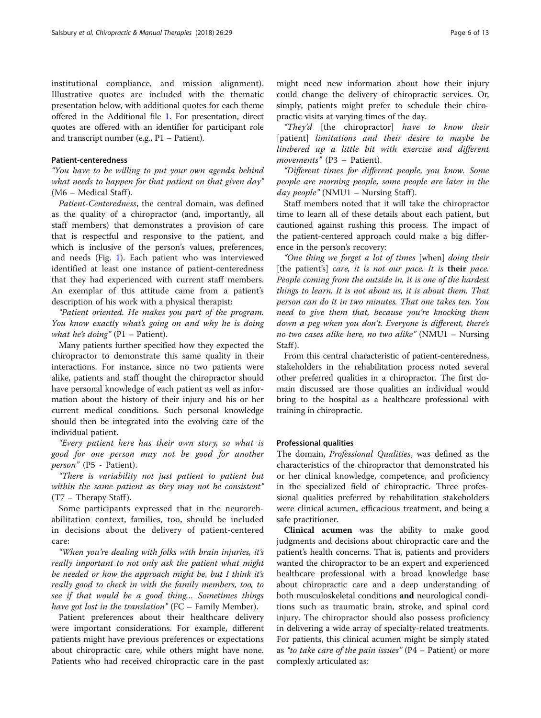institutional compliance, and mission alignment). Illustrative quotes are included with the thematic presentation below, with additional quotes for each theme offered in the Additional file [1.](#page-11-0) For presentation, direct quotes are offered with an identifier for participant role and transcript number (e.g., P1 – Patient).

#### Patient-centeredness

"You have to be willing to put your own agenda behind what needs to happen for that patient on that given day" (M6 – Medical Staff ).

Patient-Centeredness, the central domain, was defined as the quality of a chiropractor (and, importantly, all staff members) that demonstrates a provision of care that is respectful and responsive to the patient, and which is inclusive of the person's values, preferences, and needs (Fig. [1](#page-4-0)). Each patient who was interviewed identified at least one instance of patient-centeredness that they had experienced with current staff members. An exemplar of this attitude came from a patient's description of his work with a physical therapist:

"Patient oriented. He makes you part of the program. You know exactly what's going on and why he is doing what he's doing"  $(P1 -$  Patient).

Many patients further specified how they expected the chiropractor to demonstrate this same quality in their interactions. For instance, since no two patients were alike, patients and staff thought the chiropractor should have personal knowledge of each patient as well as information about the history of their injury and his or her current medical conditions. Such personal knowledge should then be integrated into the evolving care of the individual patient.

"Every patient here has their own story, so what is good for one person may not be good for another person" (P5 - Patient).

"There is variability not just patient to patient but within the same patient as they may not be consistent"  $(T7 - Therapy Staff)$ .

Some participants expressed that in the neurorehabilitation context, families, too, should be included in decisions about the delivery of patient-centered care:

"When you're dealing with folks with brain injuries, it's really important to not only ask the patient what might be needed or how the approach might be, but I think it's really good to check in with the family members, too, to see if that would be a good thing… Sometimes things have got lost in the translation" (FC – Family Member).

Patient preferences about their healthcare delivery were important considerations. For example, different patients might have previous preferences or expectations about chiropractic care, while others might have none. Patients who had received chiropractic care in the past might need new information about how their injury could change the delivery of chiropractic services. Or, simply, patients might prefer to schedule their chiropractic visits at varying times of the day.

"They'd [the chiropractor] have to know their [patient] limitations and their desire to maybe be limbered up a little bit with exercise and different movements" (P3 – Patient).

"Different times for different people, you know. Some people are morning people, some people are later in the day people" (NMU1 – Nursing Staff).

Staff members noted that it will take the chiropractor time to learn all of these details about each patient, but cautioned against rushing this process. The impact of the patient-centered approach could make a big difference in the person's recovery:

"One thing we forget a lot of times [when] doing their [the patient's] care, it is not our pace. It is their pace. People coming from the outside in, it is one of the hardest things to learn. It is not about us, it is about them. That person can do it in two minutes. That one takes ten. You need to give them that, because you're knocking them down a peg when you don't. Everyone is different, there's no two cases alike here, no two alike" (NMU1 – Nursing Staff).

From this central characteristic of patient-centeredness, stakeholders in the rehabilitation process noted several other preferred qualities in a chiropractor. The first domain discussed are those qualities an individual would bring to the hospital as a healthcare professional with training in chiropractic.

### Professional qualities

The domain, Professional Qualities, was defined as the characteristics of the chiropractor that demonstrated his or her clinical knowledge, competence, and proficiency in the specialized field of chiropractic. Three professional qualities preferred by rehabilitation stakeholders were clinical acumen, efficacious treatment, and being a safe practitioner.

Clinical acumen was the ability to make good judgments and decisions about chiropractic care and the patient's health concerns. That is, patients and providers wanted the chiropractor to be an expert and experienced healthcare professional with a broad knowledge base about chiropractic care and a deep understanding of both musculoskeletal conditions and neurological conditions such as traumatic brain, stroke, and spinal cord injury. The chiropractor should also possess proficiency in delivering a wide array of specialty-related treatments. For patients, this clinical acumen might be simply stated as "to take care of the pain issues"  $(P4 -$  Patient) or more complexly articulated as: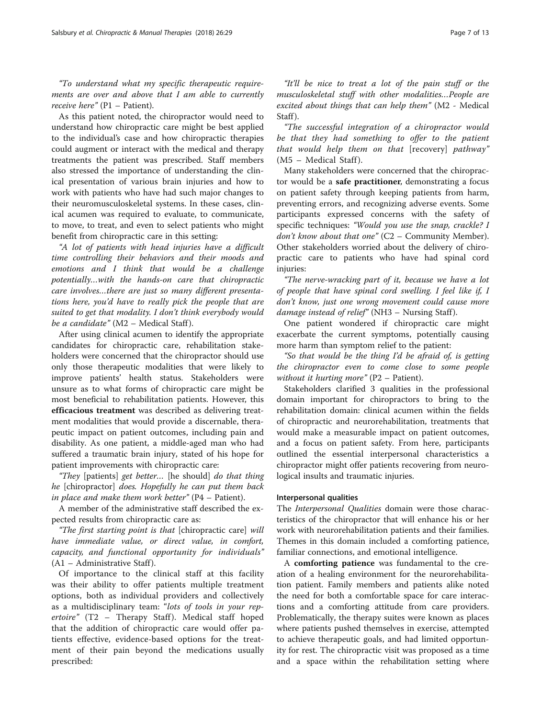"To understand what my specific therapeutic requirements are over and above that I am able to currently receive here" (P1 – Patient).

As this patient noted, the chiropractor would need to understand how chiropractic care might be best applied to the individual's case and how chiropractic therapies could augment or interact with the medical and therapy treatments the patient was prescribed. Staff members also stressed the importance of understanding the clinical presentation of various brain injuries and how to work with patients who have had such major changes to their neuromusculoskeletal systems. In these cases, clinical acumen was required to evaluate, to communicate, to move, to treat, and even to select patients who might benefit from chiropractic care in this setting:

"A lot of patients with head injuries have a difficult time controlling their behaviors and their moods and emotions and I think that would be a challenge potentially…with the hands-on care that chiropractic care involves…there are just so many different presentations here, you'd have to really pick the people that are suited to get that modality. I don't think everybody would be a candidate"  $(M2 - Medical Staff)$ .

After using clinical acumen to identify the appropriate candidates for chiropractic care, rehabilitation stakeholders were concerned that the chiropractor should use only those therapeutic modalities that were likely to improve patients' health status. Stakeholders were unsure as to what forms of chiropractic care might be most beneficial to rehabilitation patients. However, this efficacious treatment was described as delivering treatment modalities that would provide a discernable, therapeutic impact on patient outcomes, including pain and disability. As one patient, a middle-aged man who had suffered a traumatic brain injury, stated of his hope for patient improvements with chiropractic care:

"They [patients] get better… [he should] do that thing he [chiropractor] does. Hopefully he can put them back in place and make them work better" (P4 – Patient).

A member of the administrative staff described the expected results from chiropractic care as:

"The first starting point is that [chiropractic care] will have immediate value, or direct value, in comfort, capacity, and functional opportunity for individuals" (A1 – Administrative Staff ).

Of importance to the clinical staff at this facility was their ability to offer patients multiple treatment options, both as individual providers and collectively as a multidisciplinary team: "lots of tools in your repertoire" (T2 - Therapy Staff). Medical staff hoped that the addition of chiropractic care would offer patients effective, evidence-based options for the treatment of their pain beyond the medications usually prescribed:

"It'll be nice to treat a lot of the pain stuff or the musculoskeletal stuff with other modalities…People are excited about things that can help them" (M2 - Medical Staff).

"The successful integration of a chiropractor would be that they had something to offer to the patient that would help them on that [recovery] pathway"  $(M5 - Medical Staff)$ .

Many stakeholders were concerned that the chiropractor would be a safe practitioner, demonstrating a focus on patient safety through keeping patients from harm, preventing errors, and recognizing adverse events. Some participants expressed concerns with the safety of specific techniques: "Would you use the snap, crackle? I don't know about that one" (C2 – Community Member). Other stakeholders worried about the delivery of chiropractic care to patients who have had spinal cord injuries:

"The nerve-wracking part of it, because we have a lot of people that have spinal cord swelling. I feel like if, I don't know, just one wrong movement could cause more damage instead of relief" (NH3 - Nursing Staff).

One patient wondered if chiropractic care might exacerbate the current symptoms, potentially causing more harm than symptom relief to the patient:

"So that would be the thing I'd be afraid of, is getting the chiropractor even to come close to some people without it hurting more" (P2 - Patient).

Stakeholders clarified 3 qualities in the professional domain important for chiropractors to bring to the rehabilitation domain: clinical acumen within the fields of chiropractic and neurorehabilitation, treatments that would make a measurable impact on patient outcomes, and a focus on patient safety. From here, participants outlined the essential interpersonal characteristics a chiropractor might offer patients recovering from neurological insults and traumatic injuries.

#### Interpersonal qualities

The *Interpersonal Qualities* domain were those characteristics of the chiropractor that will enhance his or her work with neurorehabilitation patients and their families. Themes in this domain included a comforting patience, familiar connections, and emotional intelligence.

A comforting patience was fundamental to the creation of a healing environment for the neurorehabilitation patient. Family members and patients alike noted the need for both a comfortable space for care interactions and a comforting attitude from care providers. Problematically, the therapy suites were known as places where patients pushed themselves in exercise, attempted to achieve therapeutic goals, and had limited opportunity for rest. The chiropractic visit was proposed as a time and a space within the rehabilitation setting where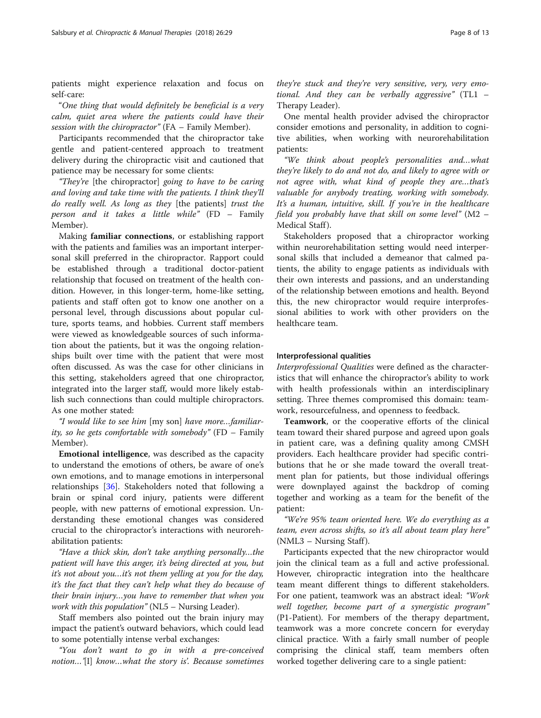patients might experience relaxation and focus on self-care:

"One thing that would definitely be beneficial is a very calm, quiet area where the patients could have their session with the chiropractor" (FA – Family Member).

Participants recommended that the chiropractor take gentle and patient-centered approach to treatment delivery during the chiropractic visit and cautioned that patience may be necessary for some clients:

"They're [the chiropractor] going to have to be caring and loving and take time with the patients. I think they'll do really well. As long as they [the patients] trust the person and it takes a little while" (FD – Family Member).

Making familiar connections, or establishing rapport with the patients and families was an important interpersonal skill preferred in the chiropractor. Rapport could be established through a traditional doctor-patient relationship that focused on treatment of the health condition. However, in this longer-term, home-like setting, patients and staff often got to know one another on a personal level, through discussions about popular culture, sports teams, and hobbies. Current staff members were viewed as knowledgeable sources of such information about the patients, but it was the ongoing relationships built over time with the patient that were most often discussed. As was the case for other clinicians in this setting, stakeholders agreed that one chiropractor, integrated into the larger staff, would more likely establish such connections than could multiple chiropractors. As one mother stated:

"I would like to see him [my son] have more…familiarity, so he gets comfortable with somebody"  $(FD - Family)$ Member).

Emotional intelligence, was described as the capacity to understand the emotions of others, be aware of one's own emotions, and to manage emotions in interpersonal relationships [[36\]](#page-12-0). Stakeholders noted that following a brain or spinal cord injury, patients were different people, with new patterns of emotional expression. Understanding these emotional changes was considered crucial to the chiropractor's interactions with neurorehabilitation patients:

"Have a thick skin, don't take anything personally…the patient will have this anger, it's being directed at you, but it's not about you…it's not them yelling at you for the day, it's the fact that they can't help what they do because of their brain injury…you have to remember that when you work with this population" (NL5 - Nursing Leader).

Staff members also pointed out the brain injury may impact the patient's outward behaviors, which could lead to some potentially intense verbal exchanges:

"You don't want to go in with a pre-conceived notion…'[I] know…what the story is'. Because sometimes they're stuck and they're very sensitive, very, very emotional. And they can be verbally aggressive"  $(TL1 -$ Therapy Leader).

One mental health provider advised the chiropractor consider emotions and personality, in addition to cognitive abilities, when working with neurorehabilitation patients:

"We think about people's personalities and…what they're likely to do and not do, and likely to agree with or not agree with, what kind of people they are…that's valuable for anybody treating, working with somebody. It's a human, intuitive, skill. If you're in the healthcare field you probably have that skill on some level" (M2 – Medical Staff).

Stakeholders proposed that a chiropractor working within neurorehabilitation setting would need interpersonal skills that included a demeanor that calmed patients, the ability to engage patients as individuals with their own interests and passions, and an understanding of the relationship between emotions and health. Beyond this, the new chiropractor would require interprofessional abilities to work with other providers on the healthcare team.

#### Interprofessional qualities

Interprofessional Qualities were defined as the characteristics that will enhance the chiropractor's ability to work with health professionals within an interdisciplinary setting. Three themes compromised this domain: teamwork, resourcefulness, and openness to feedback.

Teamwork, or the cooperative efforts of the clinical team toward their shared purpose and agreed upon goals in patient care, was a defining quality among CMSH providers. Each healthcare provider had specific contributions that he or she made toward the overall treatment plan for patients, but those individual offerings were downplayed against the backdrop of coming together and working as a team for the benefit of the patient:

"We're 95% team oriented here. We do everything as a team, even across shifts, so it's all about team play here"  $(NML3 - Nursing Staff).$ 

Participants expected that the new chiropractor would join the clinical team as a full and active professional. However, chiropractic integration into the healthcare team meant different things to different stakeholders. For one patient, teamwork was an abstract ideal: "Work well together, become part of a synergistic program" (P1-Patient). For members of the therapy department, teamwork was a more concrete concern for everyday clinical practice. With a fairly small number of people comprising the clinical staff, team members often worked together delivering care to a single patient: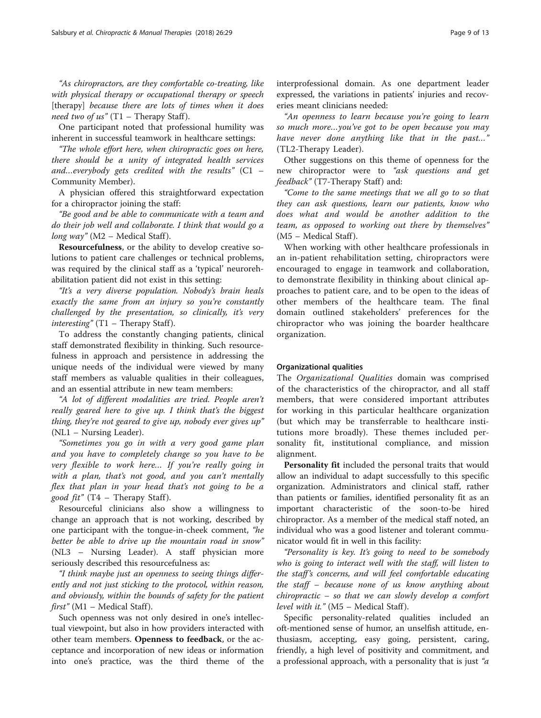"As chiropractors, are they comfortable co-treating, like with physical therapy or occupational therapy or speech [therapy] because there are lots of times when it does need two of us"  $(T1 - \text{Theory Staff})$ .

One participant noted that professional humility was inherent in successful teamwork in healthcare settings:

"The whole effort here, when chiropractic goes on here, there should be a unity of integrated health services and...everybody gets credited with the results"  $(C1 -$ Community Member).

A physician offered this straightforward expectation for a chiropractor joining the staff:

"Be good and be able to communicate with a team and do their job well and collaborate. I think that would go a long way" ( $M2$  – Medical Staff).

Resourcefulness, or the ability to develop creative solutions to patient care challenges or technical problems, was required by the clinical staff as a 'typical' neurorehabilitation patient did not exist in this setting:

"It's a very diverse population. Nobody's brain heals exactly the same from an injury so you're constantly challenged by the presentation, so clinically, it's very  $interesting'' (T1 - Therapy Staff).$ 

To address the constantly changing patients, clinical staff demonstrated flexibility in thinking. Such resourcefulness in approach and persistence in addressing the unique needs of the individual were viewed by many staff members as valuable qualities in their colleagues, and an essential attribute in new team members:

"A lot of different modalities are tried. People aren't really geared here to give up. I think that's the biggest thing, they're not geared to give up, nobody ever gives up" (NL1 – Nursing Leader).

"Sometimes you go in with a very good game plan and you have to completely change so you have to be very flexible to work here… If you're really going in with a plan, that's not good, and you can't mentally flex that plan in your head that's not going to be a good fit"  $(T4 - \text{Theory Staff})$ .

Resourceful clinicians also show a willingness to change an approach that is not working, described by one participant with the tongue-in-cheek comment, "he better be able to drive up the mountain road in snow" (NL3 – Nursing Leader). A staff physician more seriously described this resourcefulness as:

"I think maybe just an openness to seeing things differently and not just sticking to the protocol, within reason, and obviously, within the bounds of safety for the patient *first*" ( $M1$  – Medical Staff).

Such openness was not only desired in one's intellectual viewpoint, but also in how providers interacted with other team members. Openness to feedback, or the acceptance and incorporation of new ideas or information into one's practice, was the third theme of the interprofessional domain. As one department leader expressed, the variations in patients' injuries and recoveries meant clinicians needed:

"An openness to learn because you're going to learn so much more…you've got to be open because you may have never done anything like that in the past...' (TL2-Therapy Leader).

Other suggestions on this theme of openness for the new chiropractor were to "ask questions and get feedback" (T7-Therapy Staff) and:

"Come to the same meetings that we all go to so that they can ask questions, learn our patients, know who does what and would be another addition to the team, as opposed to working out there by themselves" (M5 – Medical Staff ).

When working with other healthcare professionals in an in-patient rehabilitation setting, chiropractors were encouraged to engage in teamwork and collaboration, to demonstrate flexibility in thinking about clinical approaches to patient care, and to be open to the ideas of other members of the healthcare team. The final domain outlined stakeholders' preferences for the chiropractor who was joining the boarder healthcare organization.

### Organizational qualities

The Organizational Qualities domain was comprised of the characteristics of the chiropractor, and all staff members, that were considered important attributes for working in this particular healthcare organization (but which may be transferrable to healthcare institutions more broadly). These themes included personality fit, institutional compliance, and mission alignment.

Personality fit included the personal traits that would allow an individual to adapt successfully to this specific organization. Administrators and clinical staff, rather than patients or families, identified personality fit as an important characteristic of the soon-to-be hired chiropractor. As a member of the medical staff noted, an individual who was a good listener and tolerant communicator would fit in well in this facility:

"Personality is key. It's going to need to be somebody who is going to interact well with the staff, will listen to the staff's concerns, and will feel comfortable educating the staff – because none of us know anything about chiropractic – so that we can slowly develop a comfort level with it."  $(M5 - Medical Staff)$ .

Specific personality-related qualities included an oft-mentioned sense of humor, an unselfish attitude, enthusiasm, accepting, easy going, persistent, caring, friendly, a high level of positivity and commitment, and a professional approach, with a personality that is just "*a*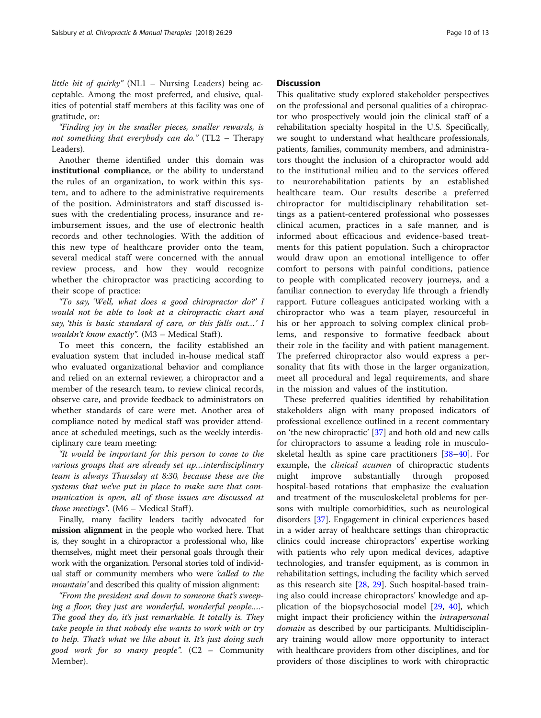little bit of quirky" (NL1 – Nursing Leaders) being acceptable. Among the most preferred, and elusive, qualities of potential staff members at this facility was one of gratitude, or:

"Finding joy in the smaller pieces, smaller rewards, is not something that everybody can do."  $(TL2 - Therapy)$ Leaders).

Another theme identified under this domain was institutional compliance, or the ability to understand the rules of an organization, to work within this system, and to adhere to the administrative requirements of the position. Administrators and staff discussed issues with the credentialing process, insurance and reimbursement issues, and the use of electronic health records and other technologies. With the addition of this new type of healthcare provider onto the team, several medical staff were concerned with the annual review process, and how they would recognize whether the chiropractor was practicing according to their scope of practice:

"To say, 'Well, what does a good chiropractor do?' I would not be able to look at a chiropractic chart and say, 'this is basic standard of care, or this falls out…' I wouldn't know exactly". (M3 - Medical Staff).

To meet this concern, the facility established an evaluation system that included in-house medical staff who evaluated organizational behavior and compliance and relied on an external reviewer, a chiropractor and a member of the research team, to review clinical records, observe care, and provide feedback to administrators on whether standards of care were met. Another area of compliance noted by medical staff was provider attendance at scheduled meetings, such as the weekly interdisciplinary care team meeting:

"It would be important for this person to come to the various groups that are already set up…interdisciplinary team is always Thursday at 8:30, because these are the systems that we've put in place to make sure that communication is open, all of those issues are discussed at those meetings".  $(M6 - Medical Staff)$ .

Finally, many facility leaders tacitly advocated for mission alignment in the people who worked here. That is, they sought in a chiropractor a professional who, like themselves, might meet their personal goals through their work with the organization. Personal stories told of individual staff or community members who were 'called to the mountain' and described this quality of mission alignment:

"From the president and down to someone that's sweeping a floor, they just are wonderful, wonderful people….- The good they do, it's just remarkable. It totally is. They take people in that nobody else wants to work with or try to help. That's what we like about it. It's just doing such good work for so many people". (C2 – Community Member).

### **Discussion**

This qualitative study explored stakeholder perspectives on the professional and personal qualities of a chiropractor who prospectively would join the clinical staff of a rehabilitation specialty hospital in the U.S. Specifically, we sought to understand what healthcare professionals, patients, families, community members, and administrators thought the inclusion of a chiropractor would add to the institutional milieu and to the services offered to neurorehabilitation patients by an established healthcare team. Our results describe a preferred chiropractor for multidisciplinary rehabilitation settings as a patient-centered professional who possesses clinical acumen, practices in a safe manner, and is informed about efficacious and evidence-based treatments for this patient population. Such a chiropractor would draw upon an emotional intelligence to offer comfort to persons with painful conditions, patience to people with complicated recovery journeys, and a familiar connection to everyday life through a friendly rapport. Future colleagues anticipated working with a chiropractor who was a team player, resourceful in his or her approach to solving complex clinical problems, and responsive to formative feedback about their role in the facility and with patient management. The preferred chiropractor also would express a personality that fits with those in the larger organization, meet all procedural and legal requirements, and share in the mission and values of the institution.

These preferred qualities identified by rehabilitation stakeholders align with many proposed indicators of professional excellence outlined in a recent commentary on 'the new chiropractic' [\[37](#page-12-0)] and both old and new calls for chiropractors to assume a leading role in musculoskeletal health as spine care practitioners [\[38](#page-12-0)–[40\]](#page-12-0). For example, the clinical acumen of chiropractic students might improve substantially through proposed hospital-based rotations that emphasize the evaluation and treatment of the musculoskeletal problems for persons with multiple comorbidities, such as neurological disorders [[37\]](#page-12-0). Engagement in clinical experiences based in a wider array of healthcare settings than chiropractic clinics could increase chiropractors' expertise working with patients who rely upon medical devices, adaptive technologies, and transfer equipment, as is common in rehabilitation settings, including the facility which served as this research site [\[28](#page-12-0), [29](#page-12-0)]. Such hospital-based training also could increase chiropractors' knowledge and application of the biopsychosocial model [\[29](#page-12-0), [40\]](#page-12-0), which might impact their proficiency within the intrapersonal domain as described by our participants. Multidisciplinary training would allow more opportunity to interact with healthcare providers from other disciplines, and for providers of those disciplines to work with chiropractic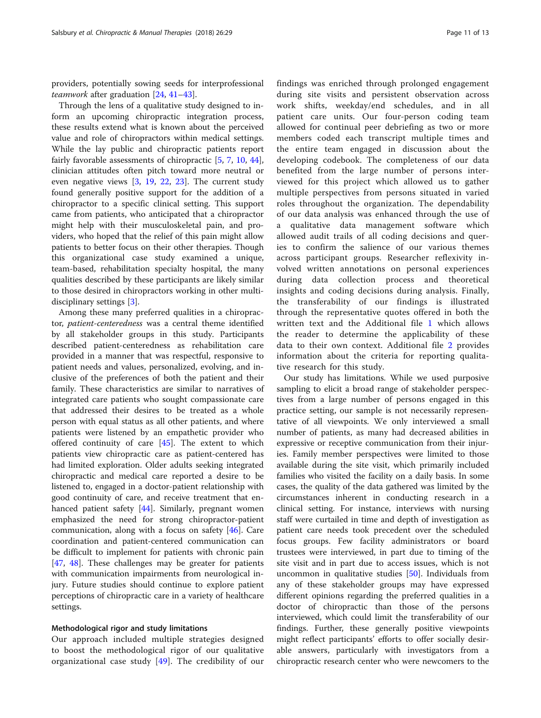providers, potentially sowing seeds for interprofessional teamwork after graduation [\[24,](#page-12-0) [41](#page-12-0)–[43\]](#page-12-0).

Through the lens of a qualitative study designed to inform an upcoming chiropractic integration process, these results extend what is known about the perceived value and role of chiropractors within medical settings. While the lay public and chiropractic patients report fairly favorable assessments of chiropractic [[5](#page-11-0), [7,](#page-12-0) [10,](#page-12-0) [44](#page-12-0)], clinician attitudes often pitch toward more neutral or even negative views [\[3](#page-11-0), [19,](#page-12-0) [22](#page-12-0), [23](#page-12-0)]. The current study found generally positive support for the addition of a chiropractor to a specific clinical setting. This support came from patients, who anticipated that a chiropractor might help with their musculoskeletal pain, and providers, who hoped that the relief of this pain might allow patients to better focus on their other therapies. Though this organizational case study examined a unique, team-based, rehabilitation specialty hospital, the many qualities described by these participants are likely similar to those desired in chiropractors working in other multidisciplinary settings [\[3](#page-11-0)].

Among these many preferred qualities in a chiropractor, patient-centeredness was a central theme identified by all stakeholder groups in this study. Participants described patient-centeredness as rehabilitation care provided in a manner that was respectful, responsive to patient needs and values, personalized, evolving, and inclusive of the preferences of both the patient and their family. These characteristics are similar to narratives of integrated care patients who sought compassionate care that addressed their desires to be treated as a whole person with equal status as all other patients, and where patients were listened by an empathetic provider who offered continuity of care [[45\]](#page-12-0). The extent to which patients view chiropractic care as patient-centered has had limited exploration. Older adults seeking integrated chiropractic and medical care reported a desire to be listened to, engaged in a doctor-patient relationship with good continuity of care, and receive treatment that en-hanced patient safety [[44\]](#page-12-0). Similarly, pregnant women emphasized the need for strong chiropractor-patient communication, along with a focus on safety [\[46](#page-12-0)]. Care coordination and patient-centered communication can be difficult to implement for patients with chronic pain [[47,](#page-12-0) [48](#page-12-0)]. These challenges may be greater for patients with communication impairments from neurological injury. Future studies should continue to explore patient perceptions of chiropractic care in a variety of healthcare settings.

#### Methodological rigor and study limitations

Our approach included multiple strategies designed to boost the methodological rigor of our qualitative organizational case study  $[49]$  $[49]$ . The credibility of our findings was enriched through prolonged engagement during site visits and persistent observation across work shifts, weekday/end schedules, and in all patient care units. Our four-person coding team allowed for continual peer debriefing as two or more members coded each transcript multiple times and the entire team engaged in discussion about the developing codebook. The completeness of our data benefited from the large number of persons interviewed for this project which allowed us to gather multiple perspectives from persons situated in varied roles throughout the organization. The dependability of our data analysis was enhanced through the use of a qualitative data management software which allowed audit trails of all coding decisions and queries to confirm the salience of our various themes across participant groups. Researcher reflexivity involved written annotations on personal experiences during data collection process and theoretical insights and coding decisions during analysis. Finally, the transferability of our findings is illustrated through the representative quotes offered in both the written text and the Additional file [1](#page-11-0) which allows the reader to determine the applicability of these data to their own context. Additional file [2](#page-11-0) provides information about the criteria for reporting qualitative research for this study.

Our study has limitations. While we used purposive sampling to elicit a broad range of stakeholder perspectives from a large number of persons engaged in this practice setting, our sample is not necessarily representative of all viewpoints. We only interviewed a small number of patients, as many had decreased abilities in expressive or receptive communication from their injuries. Family member perspectives were limited to those available during the site visit, which primarily included families who visited the facility on a daily basis. In some cases, the quality of the data gathered was limited by the circumstances inherent in conducting research in a clinical setting. For instance, interviews with nursing staff were curtailed in time and depth of investigation as patient care needs took precedent over the scheduled focus groups. Few facility administrators or board trustees were interviewed, in part due to timing of the site visit and in part due to access issues, which is not uncommon in qualitative studies [\[50](#page-12-0)]. Individuals from any of these stakeholder groups may have expressed different opinions regarding the preferred qualities in a doctor of chiropractic than those of the persons interviewed, which could limit the transferability of our findings. Further, these generally positive viewpoints might reflect participants' efforts to offer socially desirable answers, particularly with investigators from a chiropractic research center who were newcomers to the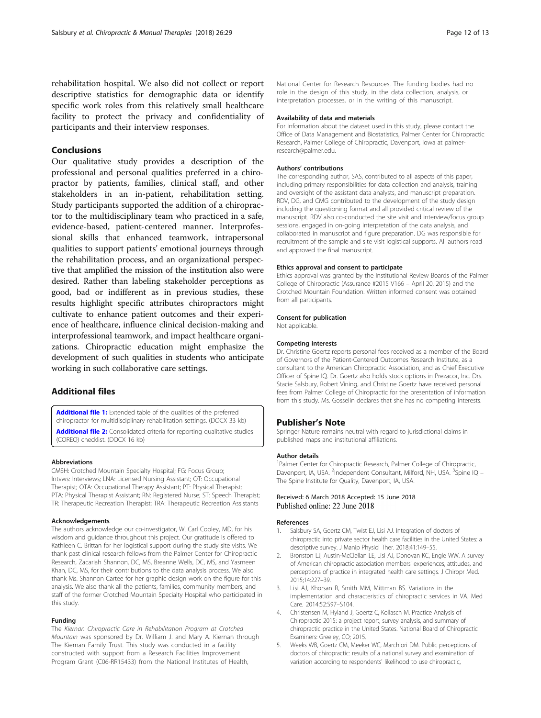<span id="page-11-0"></span>rehabilitation hospital. We also did not collect or report descriptive statistics for demographic data or identify specific work roles from this relatively small healthcare facility to protect the privacy and confidentiality of participants and their interview responses.

### **Conclusions**

Our qualitative study provides a description of the professional and personal qualities preferred in a chiropractor by patients, families, clinical staff, and other stakeholders in an in-patient, rehabilitation setting. Study participants supported the addition of a chiropractor to the multidisciplinary team who practiced in a safe, evidence-based, patient-centered manner. Interprofessional skills that enhanced teamwork, intrapersonal qualities to support patients' emotional journeys through the rehabilitation process, and an organizational perspective that amplified the mission of the institution also were desired. Rather than labeling stakeholder perceptions as good, bad or indifferent as in previous studies, these results highlight specific attributes chiropractors might cultivate to enhance patient outcomes and their experience of healthcare, influence clinical decision-making and interprofessional teamwork, and impact healthcare organizations. Chiropractic education might emphasize the development of such qualities in students who anticipate working in such collaborative care settings.

### Additional files

[Additional file 1:](https://doi.org/10.1186/s12998-018-0200-4) Extended table of the qualities of the preferred chiropractor for multidisciplinary rehabilitation settings. (DOCX 33 kb)

[Additional file 2:](https://doi.org/10.1186/s12998-018-0200-4) Consolidated criteria for reporting qualitative studies (COREQ) checklist. (DOCX 16 kb)

#### Abbreviations

CMSH: Crotched Mountain Specialty Hospital; FG: Focus Group; Intvws: Interviews; LNA: Licensed Nursing Assistant; OT: Occupational Therapist; OTA: Occupational Therapy Assistant; PT: Physical Therapist; PTA: Physical Therapist Assistant; RN: Registered Nurse; ST: Speech Therapist; TR: Therapeutic Recreation Therapist; TRA: Therapeutic Recreation Assistants

#### Acknowledgements

The authors acknowledge our co-investigator, W. Carl Cooley, MD, for his wisdom and guidance throughout this project. Our gratitude is offered to Kathleen C. Brittan for her logistical support during the study site visits. We thank past clinical research fellows from the Palmer Center for Chiropractic Research, Zacariah Shannon, DC, MS, Breanne Wells, DC, MS, and Yasmeen Khan, DC, MS, for their contributions to the data analysis process. We also thank Ms. Shannon Cartee for her graphic design work on the figure for this analysis. We also thank all the patients, families, community members, and staff of the former Crotched Mountain Specialty Hospital who participated in this study.

#### Funding

The Kiernan Chiropractic Care in Rehabilitation Program at Crotched Mountain was sponsored by Dr. William J. and Mary A. Kiernan through The Kiernan Family Trust. This study was conducted in a facility constructed with support from a Research Facilities Improvement Program Grant (C06-RR15433) from the National Institutes of Health,

National Center for Research Resources. The funding bodies had no role in the design of this study, in the data collection, analysis, or interpretation processes, or in the writing of this manuscript.

#### Availability of data and materials

For information about the dataset used in this study, please contact the Office of Data Management and Biostatistics, Palmer Center for Chiropractic Research, Palmer College of Chiropractic, Davenport, Iowa at palmerresearch@palmer.edu.

#### Authors' contributions

The corresponding author, SAS, contributed to all aspects of this paper, including primary responsibilities for data collection and analysis, training and oversight of the assistant data analysts, and manuscript preparation. RDV, DG, and CMG contributed to the development of the study design including the questioning format and all provided critical review of the manuscript. RDV also co-conducted the site visit and interview/focus group sessions, engaged in on-going interpretation of the data analysis, and collaborated in manuscript and figure preparation. DG was responsible for recruitment of the sample and site visit logistical supports. All authors read and approved the final manuscript.

#### Ethics approval and consent to participate

Ethics approval was granted by the Institutional Review Boards of the Palmer College of Chiropractic (Assurance #2015 V166 – April 20, 2015) and the Crotched Mountain Foundation. Written informed consent was obtained from all participants.

#### Consent for publication

Not applicable.

#### Competing interests

Dr. Christine Goertz reports personal fees received as a member of the Board of Governors of the Patient-Centered Outcomes Research Institute, as a consultant to the American Chiropractic Association, and as Chief Executive Officer of Spine IQ. Dr. Goertz also holds stock options in Prezacor, Inc. Drs. Stacie Salsbury, Robert Vining, and Christine Goertz have received personal fees from Palmer College of Chiropractic for the presentation of information from this study. Ms. Gosselin declares that she has no competing interests.

#### Publisher's Note

Springer Nature remains neutral with regard to jurisdictional claims in published maps and institutional affiliations.

#### Author details

<sup>1</sup>Palmer Center for Chiropractic Research, Palmer College of Chiropractic, Davenport, IA, USA. <sup>2</sup>Independent Consultant, Milford, NH, USA. <sup>3</sup>Spine IQ -The Spine Institute for Quality, Davenport, IA, USA.

# Received: 6 March 2018 Accepted: 15 June 2018<br>Published online: 22 June 2018

#### References

- Salsbury SA, Goertz CM, Twist EJ, Lisi AJ. Integration of doctors of chiropractic into private sector health care facilities in the United States: a descriptive survey. J Manip Physiol Ther. 2018;41:149–55.
- 2. Bronston LJ, Austin-McClellan LE, Lisi AJ, Donovan KC, Engle WW. A survey of American chiropractic association members' experiences, attitudes, and perceptions of practice in integrated health care settings. J Chiropr Med. 2015;14:227–39.
- 3. Lisi AJ, Khorsan R, Smith MM, Mittman BS. Variations in the implementation and characteristics of chiropractic services in VA. Med Care. 2014;52:S97–S104.
- 4. Christensen M, Hyland J, Goertz C, Kollasch M. Practice Analysis of Chiropractic 2015: a project report, survey analysis, and summary of chiropractic practice in the United States. National Board of Chiropractic Examiners: Greeley, CO; 2015.
- 5. Weeks WB, Goertz CM, Meeker WC, Marchiori DM. Public perceptions of doctors of chiropractic: results of a national survey and examination of variation according to respondents' likelihood to use chiropractic,